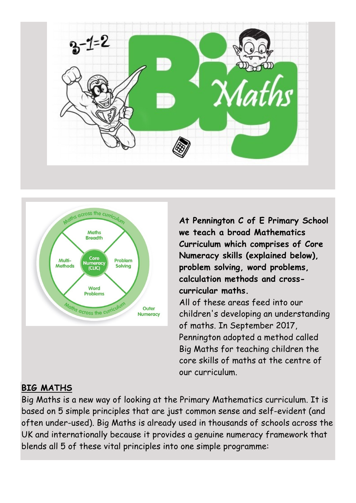



**At Pennington C of E Primary School we teach a broad Mathematics Curriculum which comprises of Core Numeracy skills (explained below), problem solving, word problems, calculation methods and crosscurricular maths.** All of these areas feed into our children's developing an understanding of maths. In September 2017, Pennington adopted a method called Big Maths for teaching children the core skills of maths at the centre of our curriculum.

## **BIG MATHS**

Big Maths is a new way of looking at the Primary Mathematics curriculum. It is based on 5 simple principles that are just common sense and self-evident (and often under-used). Big Maths is already used in thousands of schools across the UK and internationally because it provides a genuine numeracy framework that blends all 5 of these vital principles into one simple programme: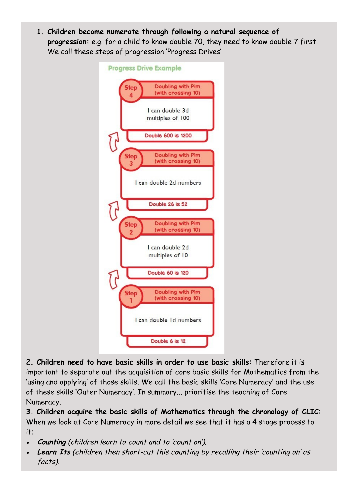**1. Children become numerate through following a natural sequence of progression:** e.g. for a child to know double 70, they need to know double 7 first. We call these steps of progression 'Progress Drives'



**2. Children need to have basic skills in order to use basic skills:** Therefore it is important to separate out the acquisition of core basic skills for Mathematics from the 'using and applying' of those skills. We call the basic skills 'Core Numeracy' and the use of these skills 'Outer Numeracy'. In summary... prioritise the teaching of Core Numeracy.

**3. Children acquire the basic skills of Mathematics through the chronology of CLIC**: When we look at Core Numeracy in more detail we see that it has a 4 stage process to it;

- **Counting** (children learn to count and to 'count on').
- **Learn Its** (children then short-cut this counting by recalling their 'counting on' as facts).